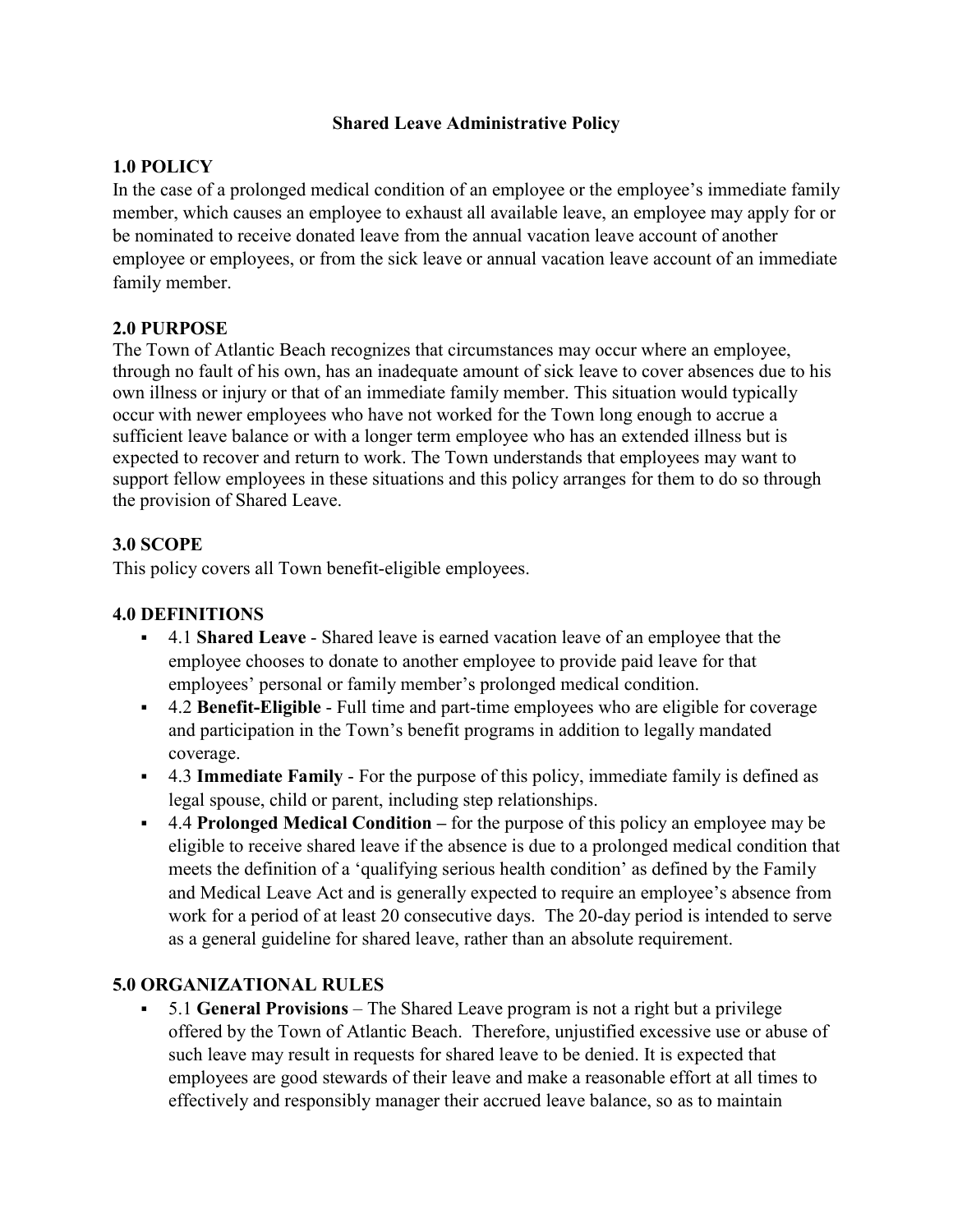### **Shared Leave Administrative Policy**

## **1.0 POLICY**

In the case of a prolonged medical condition of an employee or the employee's immediate family member, which causes an employee to exhaust all available leave, an employee may apply for or be nominated to receive donated leave from the annual vacation leave account of another employee or employees, or from the sick leave or annual vacation leave account of an immediate family member.

#### **2.0 PURPOSE**

The Town of Atlantic Beach recognizes that circumstances may occur where an employee, through no fault of his own, has an inadequate amount of sick leave to cover absences due to his own illness or injury or that of an immediate family member. This situation would typically occur with newer employees who have not worked for the Town long enough to accrue a sufficient leave balance or with a longer term employee who has an extended illness but is expected to recover and return to work. The Town understands that employees may want to support fellow employees in these situations and this policy arranges for them to do so through the provision of Shared Leave.

### **3.0 SCOPE**

This policy covers all Town benefit-eligible employees.

### **4.0 DEFINITIONS**

- 4.1 **Shared Leave** Shared leave is earned vacation leave of an employee that the employee chooses to donate to another employee to provide paid leave for that employees' personal or family member's prolonged medical condition.
- 4.2 **Benefit-Eligible** Full time and part-time employees who are eligible for coverage and participation in the Town's benefit programs in addition to legally mandated coverage.
- 4.3 **Immediate Family** For the purpose of this policy, immediate family is defined as legal spouse, child or parent, including step relationships.
- 4.4 **Prolonged Medical Condition –** for the purpose of this policy an employee may be eligible to receive shared leave if the absence is due to a prolonged medical condition that meets the definition of a 'qualifying serious health condition' as defined by the Family and Medical Leave Act and is generally expected to require an employee's absence from work for a period of at least 20 consecutive days. The 20-day period is intended to serve as a general guideline for shared leave, rather than an absolute requirement.

### **5.0 ORGANIZATIONAL RULES**

 5.1 **General Provisions** – The Shared Leave program is not a right but a privilege offered by the Town of Atlantic Beach. Therefore, unjustified excessive use or abuse of such leave may result in requests for shared leave to be denied. It is expected that employees are good stewards of their leave and make a reasonable effort at all times to effectively and responsibly manager their accrued leave balance, so as to maintain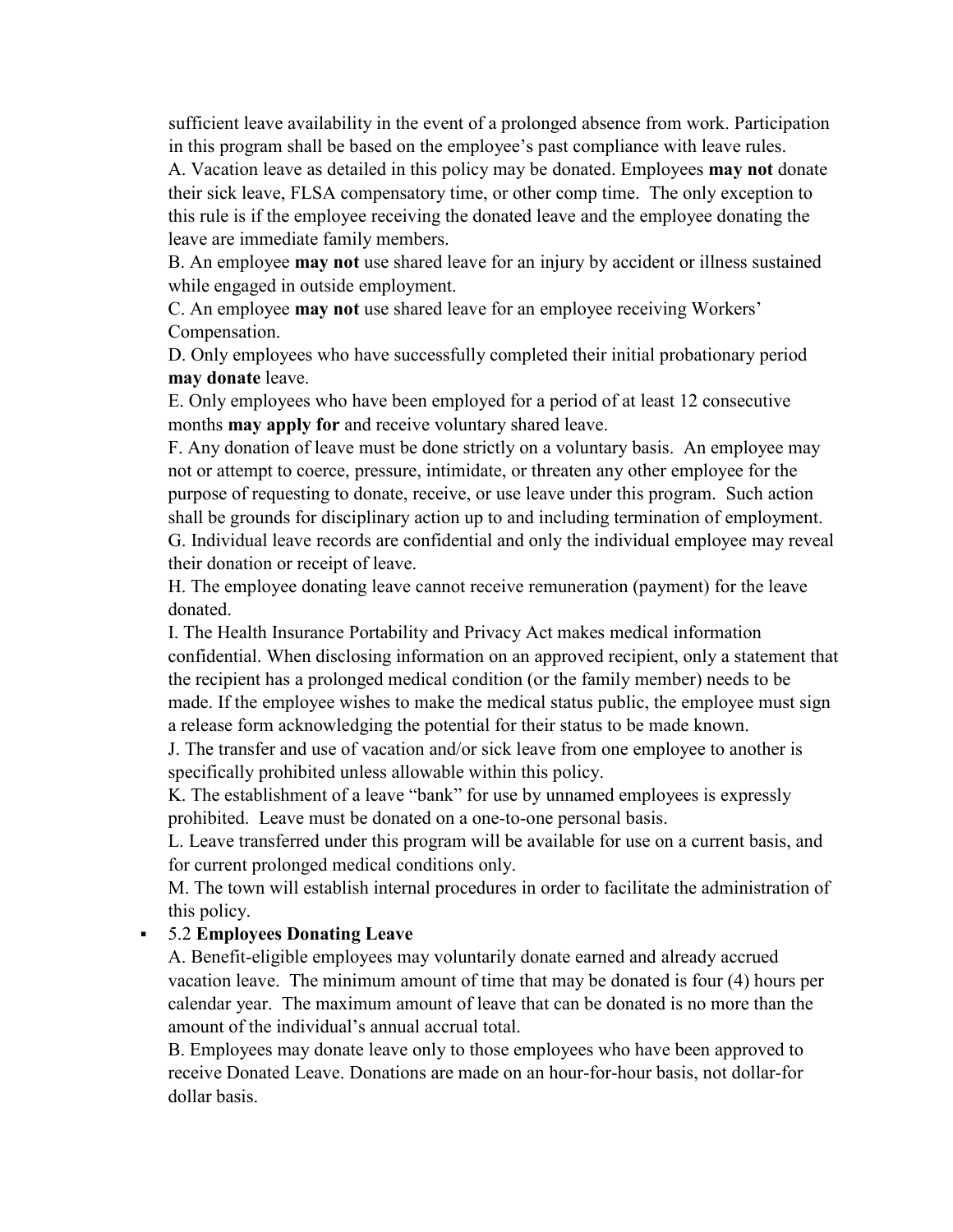sufficient leave availability in the event of a prolonged absence from work. Participation in this program shall be based on the employee's past compliance with leave rules.

A. Vacation leave as detailed in this policy may be donated. Employees **may not** donate their sick leave, FLSA compensatory time, or other comp time. The only exception to this rule is if the employee receiving the donated leave and the employee donating the leave are immediate family members.

B. An employee **may not** use shared leave for an injury by accident or illness sustained while engaged in outside employment.

C. An employee **may not** use shared leave for an employee receiving Workers' Compensation.

D. Only employees who have successfully completed their initial probationary period **may donate** leave.

E. Only employees who have been employed for a period of at least 12 consecutive months **may apply for** and receive voluntary shared leave.

F. Any donation of leave must be done strictly on a voluntary basis. An employee may not or attempt to coerce, pressure, intimidate, or threaten any other employee for the purpose of requesting to donate, receive, or use leave under this program. Such action shall be grounds for disciplinary action up to and including termination of employment. G. Individual leave records are confidential and only the individual employee may reveal their donation or receipt of leave.

H. The employee donating leave cannot receive remuneration (payment) for the leave donated.

I. The Health Insurance Portability and Privacy Act makes medical information confidential. When disclosing information on an approved recipient, only a statement that the recipient has a prolonged medical condition (or the family member) needs to be made. If the employee wishes to make the medical status public, the employee must sign a release form acknowledging the potential for their status to be made known.

J. The transfer and use of vacation and/or sick leave from one employee to another is specifically prohibited unless allowable within this policy.

K. The establishment of a leave "bank" for use by unnamed employees is expressly prohibited. Leave must be donated on a one-to-one personal basis.

L. Leave transferred under this program will be available for use on a current basis, and for current prolonged medical conditions only.

M. The town will establish internal procedures in order to facilitate the administration of this policy.

### 5.2 **Employees Donating Leave**

A. Benefit-eligible employees may voluntarily donate earned and already accrued vacation leave. The minimum amount of time that may be donated is four (4) hours per calendar year. The maximum amount of leave that can be donated is no more than the amount of the individual's annual accrual total.

B. Employees may donate leave only to those employees who have been approved to receive Donated Leave. Donations are made on an hour-for-hour basis, not dollar-for dollar basis.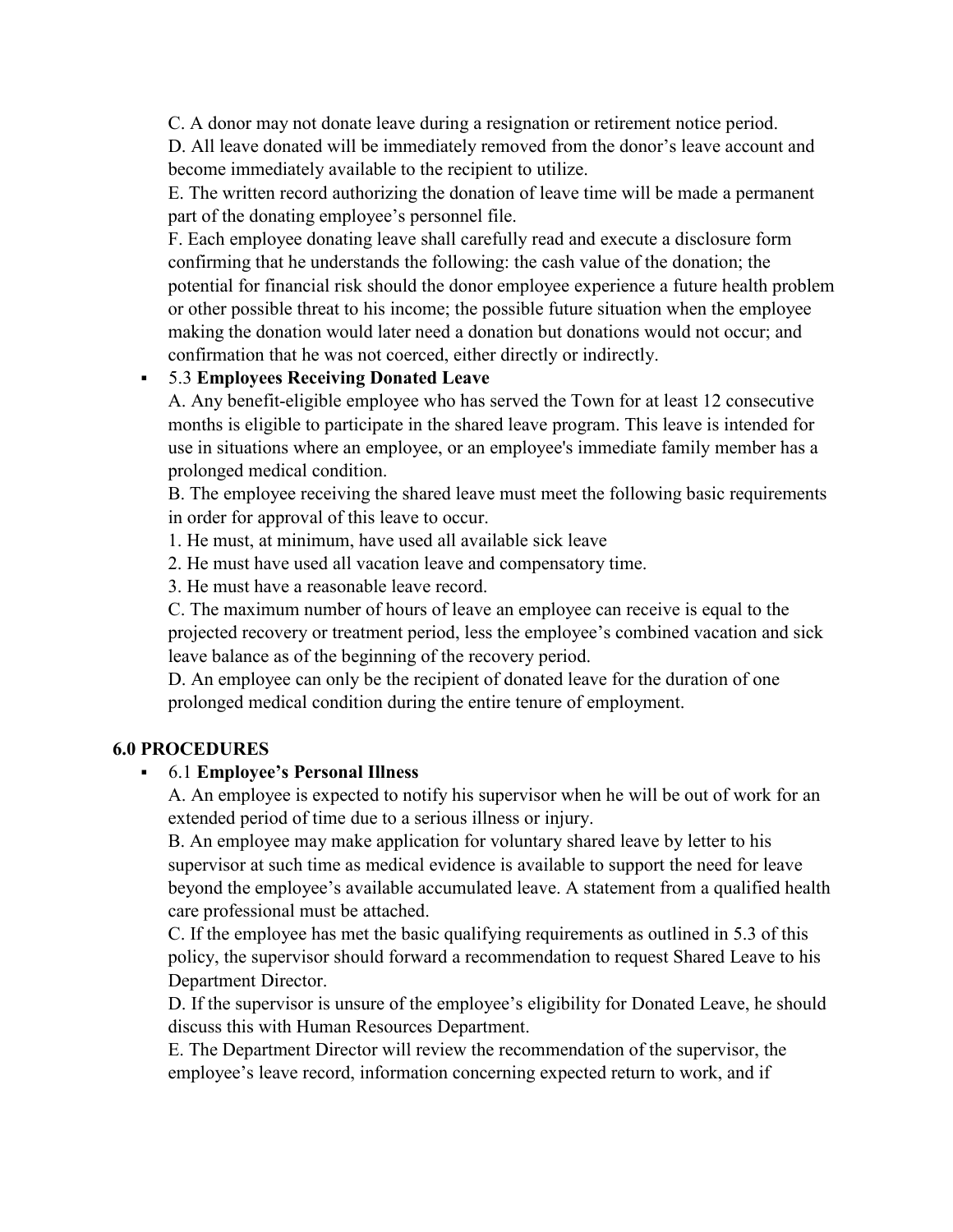C. A donor may not donate leave during a resignation or retirement notice period.

D. All leave donated will be immediately removed from the donor's leave account and become immediately available to the recipient to utilize.

E. The written record authorizing the donation of leave time will be made a permanent part of the donating employee's personnel file.

F. Each employee donating leave shall carefully read and execute a disclosure form confirming that he understands the following: the cash value of the donation; the potential for financial risk should the donor employee experience a future health problem or other possible threat to his income; the possible future situation when the employee making the donation would later need a donation but donations would not occur; and confirmation that he was not coerced, either directly or indirectly.

## 5.3 **Employees Receiving Donated Leave**

A. Any benefit-eligible employee who has served the Town for at least 12 consecutive months is eligible to participate in the shared leave program. This leave is intended for use in situations where an employee, or an employee's immediate family member has a prolonged medical condition.

B. The employee receiving the shared leave must meet the following basic requirements in order for approval of this leave to occur.

1. He must, at minimum, have used all available sick leave

2. He must have used all vacation leave and compensatory time.

3. He must have a reasonable leave record.

C. The maximum number of hours of leave an employee can receive is equal to the projected recovery or treatment period, less the employee's combined vacation and sick leave balance as of the beginning of the recovery period.

D. An employee can only be the recipient of donated leave for the duration of one prolonged medical condition during the entire tenure of employment.

### **6.0 PROCEDURES**

### 6.1 **Employee's Personal Illness**

A. An employee is expected to notify his supervisor when he will be out of work for an extended period of time due to a serious illness or injury.

B. An employee may make application for voluntary shared leave by letter to his supervisor at such time as medical evidence is available to support the need for leave beyond the employee's available accumulated leave. A statement from a qualified health care professional must be attached.

C. If the employee has met the basic qualifying requirements as outlined in 5.3 of this policy, the supervisor should forward a recommendation to request Shared Leave to his Department Director.

D. If the supervisor is unsure of the employee's eligibility for Donated Leave, he should discuss this with Human Resources Department.

E. The Department Director will review the recommendation of the supervisor, the employee's leave record, information concerning expected return to work, and if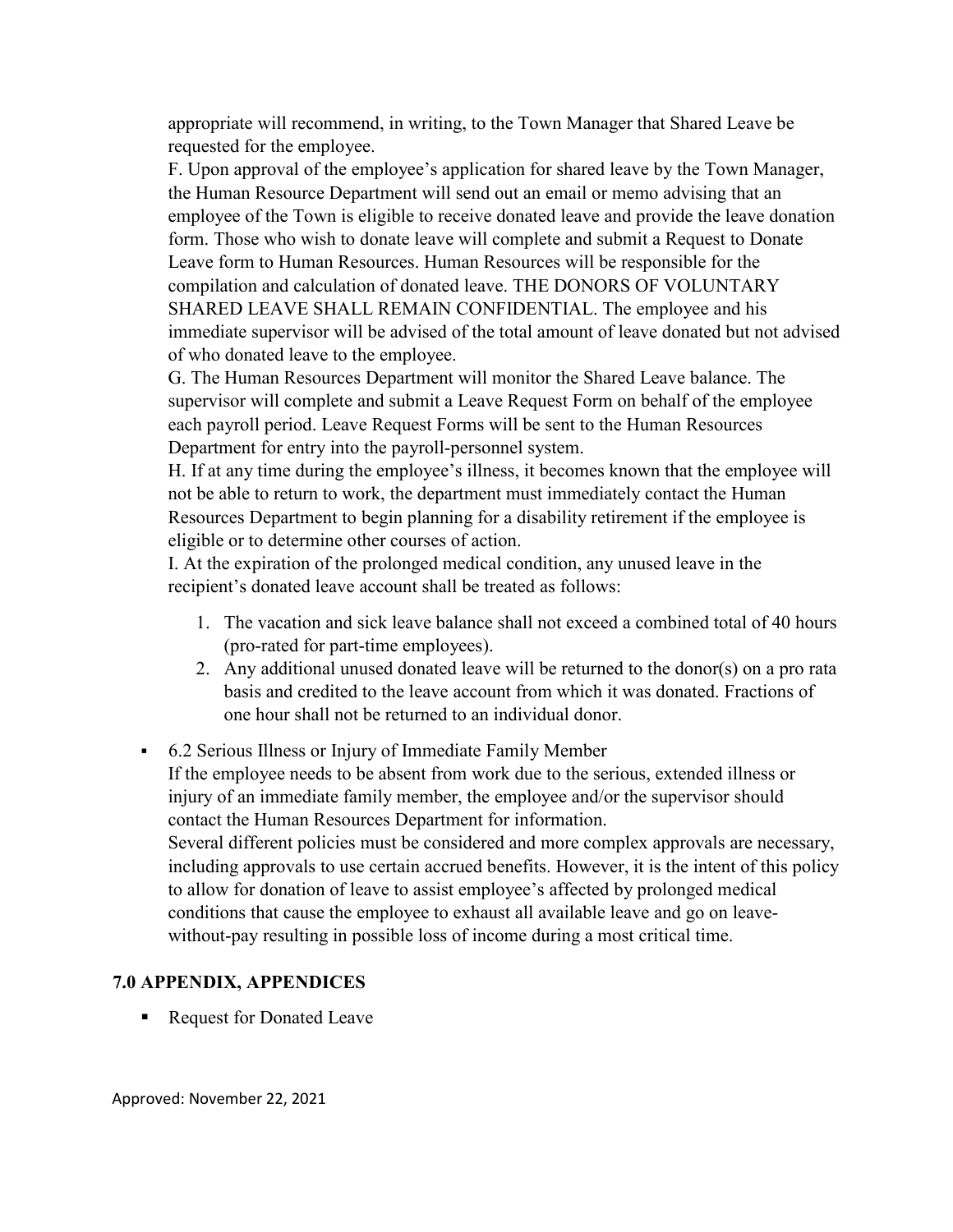appropriate will recommend, in writing, to the Town Manager that Shared Leave be requested for the employee.

F. Upon approval of the employee's application for shared leave by the Town Manager, the Human Resource Department will send out an email or memo advising that an employee of the Town is eligible to receive donated leave and provide the leave donation form. Those who wish to donate leave will complete and submit a Request to Donate Leave form to Human Resources. Human Resources will be responsible for the compilation and calculation of donated leave. THE DONORS OF VOLUNTARY SHARED LEAVE SHALL REMAIN CONFIDENTIAL. The employee and his immediate supervisor will be advised of the total amount of leave donated but not advised of who donated leave to the employee.

G. The Human Resources Department will monitor the Shared Leave balance. The supervisor will complete and submit a Leave Request Form on behalf of the employee each payroll period. Leave Request Forms will be sent to the Human Resources Department for entry into the payroll-personnel system.

H. If at any time during the employee's illness, it becomes known that the employee will not be able to return to work, the department must immediately contact the Human Resources Department to begin planning for a disability retirement if the employee is eligible or to determine other courses of action.

I. At the expiration of the prolonged medical condition, any unused leave in the recipient's donated leave account shall be treated as follows:

- 1. The vacation and sick leave balance shall not exceed a combined total of 40 hours (pro-rated for part-time employees).
- 2. Any additional unused donated leave will be returned to the donor(s) on a pro rata basis and credited to the leave account from which it was donated. Fractions of one hour shall not be returned to an individual donor.
- 6.2 Serious Illness or Injury of Immediate Family Member If the employee needs to be absent from work due to the serious, extended illness or injury of an immediate family member, the employee and/or the supervisor should contact the Human Resources Department for information. Several different policies must be considered and more complex approvals are necessary, including approvals to use certain accrued benefits. However, it is the intent of this policy to allow for donation of leave to assist employee's affected by prolonged medical conditions that cause the employee to exhaust all available leave and go on leavewithout-pay resulting in possible loss of income during a most critical time.

#### **7.0 APPENDIX, APPENDICES**

■ Request for Donated Leave